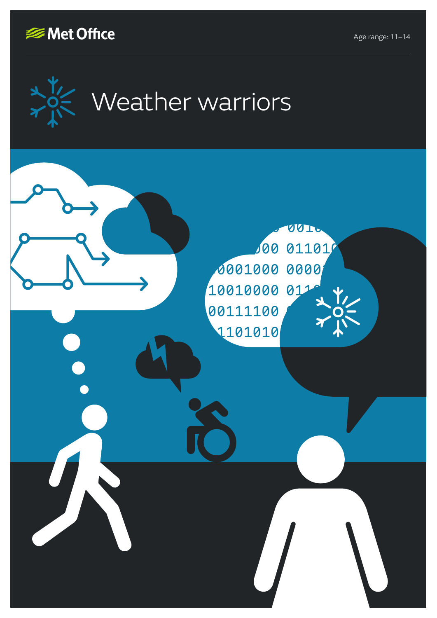

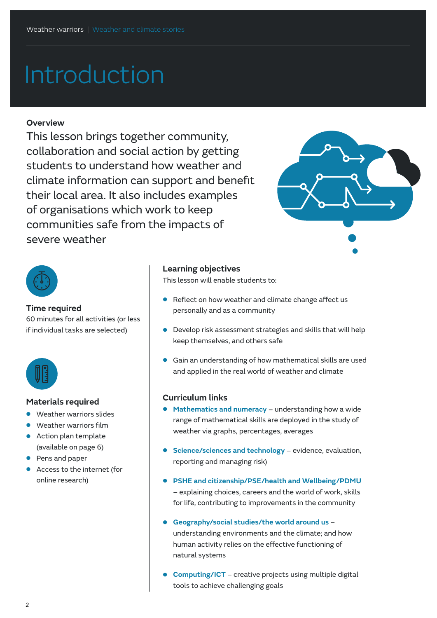# Introduction

#### **Overview**

This lesson brings together community, collaboration and social action by getting students to understand how weather and climate information can support and benefit their local area. It also includes examples of organisations which work to keep communities safe from the impacts of severe weather





#### **Time required**

60 minutes for all activities (or less if individual tasks are selected)



#### **Materials required**

- **•** Weather warriors slides
- **•** Weather warriors film
- **•** Action plan template (available on page 6)
- **•** Pens and paper
- **•** Access to the internet (for online research)

#### **Learning objectives**

This lesson will enable students to:

- **•** Reflect on how weather and climate change affect us personally and as a community
- **•** Develop risk assessment strategies and skills that will help keep themselves, and others safe
- **•** Gain an understanding of how mathematical skills are used and applied in the real world of weather and climate

### **Curriculum links**

- **• Mathematics and numeracy** understanding how a wide range of mathematical skills are deployed in the study of weather via graphs, percentages, averages
- **• Science/sciences and technology** evidence, evaluation, reporting and managing risk)
- **• PSHE and citizenship/PSE/health and Wellbeing/PDMU** – explaining choices, careers and the world of work, skills for life, contributing to improvements in the community
- **• Geography/social studies/the world around us**  understanding environments and the climate; and how human activity relies on the effective functioning of natural systems
- **• Computing/ICT** creative projects using multiple digital tools to achieve challenging goals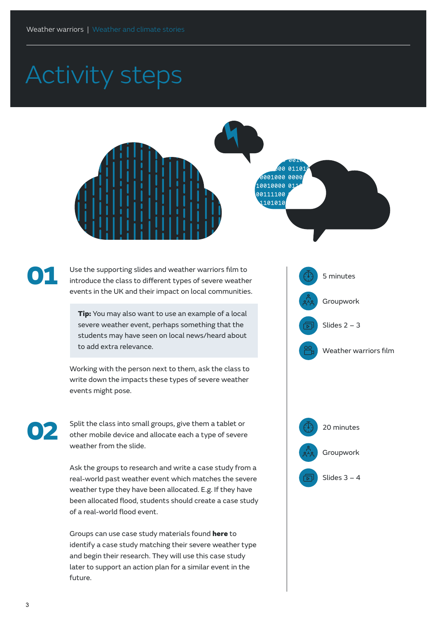# Activity steps





02

Use the supporting slides and weather warriors film to introduce the class to different types of severe weather events in the UK and their impact on local communities.

Tip: You may also want to use an example of a local severe weather event, perhaps something that the students may have seen on local news/heard about to add extra relevance.

Working with the person next to them, ask the class to write down the impacts these types of severe weather events might pose.

Split the class into small groups, give them a tablet or other mobile device and allocate each a type of severe weather from the slide.

Ask the groups to research and write a case study from a real-world past weather event which matches the severe weather type they have been allocated. E.g. If they have been allocated flood, students should create a case study of a real-world flood event.

Groups can use case study materials found [here](https://www.metoffice.gov.uk/weather/learn-about/past-uk-weather-events
) to identify a case study matching their severe weather type and begin their research. They will use this case study later to support an action plan for a similar event in the future.





Slides 3 – 4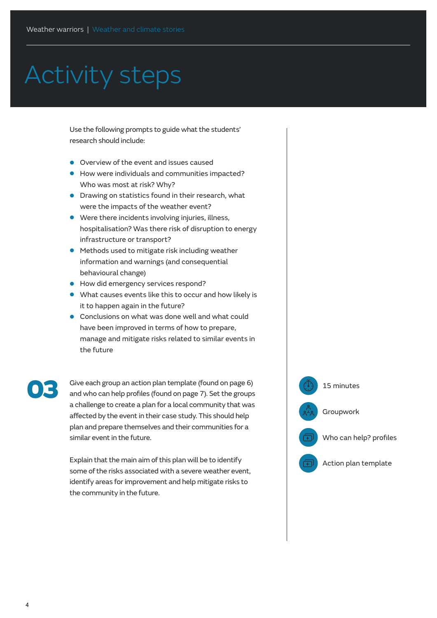## Activity steps

Use the following prompts to guide what the students' research should include:

- **•** Overview of the event and issues caused
- **•** How were individuals and communities impacted? Who was most at risk? Why?
- **•** Drawing on statistics found in their research, what were the impacts of the weather event?
- **•** Were there incidents involving injuries, illness, hospitalisation? Was there risk of disruption to energy infrastructure or transport?
- **•** Methods used to mitigate risk including weather information and warnings (and consequential behavioural change)
- **•** How did emergency services respond?
- **•** What causes events like this to occur and how likely is it to happen again in the future?
- **•** Conclusions on what was done well and what could have been improved in terms of how to prepare, manage and mitigate risks related to similar events in the future

Give each group an action plan template (found on page 6) and who can help profiles (found on page 7). Set the groups a challenge to create a plan for a local community that was affected by the event in their case study. This should help plan and prepare themselves and their communities for a similar event in the future. Give each group an action plan template (found on page 6)<br>and who can help profiles (found on page 7). Set the groups<br>a shall grants quarks a glas face last community that we can

> Explain that the main aim of this plan will be to identify some of the risks associated with a severe weather event, identify areas for improvement and help mitigate risks to the community in the future.

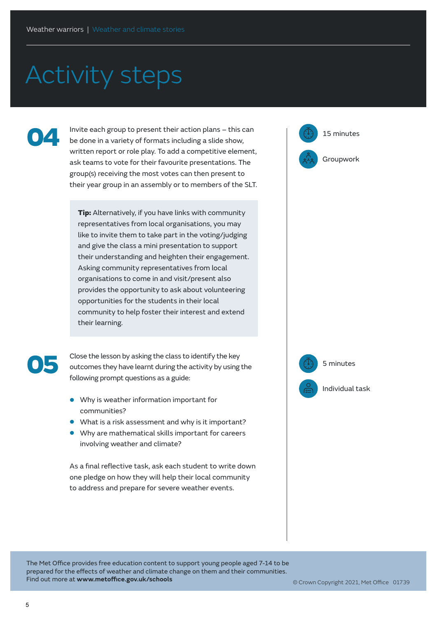## Activity steps

04

Invite each group to present their action plans – this can  $\left(\sqrt[3]{3}\right)$  15 minutes be done in a variety of formats including a slide show, written report or role play. To add a competitive element, ask teams to vote for their favourite presentations. The group(s) receiving the most votes can then present to their year group in an assembly or to members of the SLT.

**Tip:** Alternatively, if you have links with community representatives from local organisations, you may like to invite them to take part in the voting/judging and give the class a mini presentation to support their understanding and heighten their engagement. Asking community representatives from local organisations to come in and visit/present also provides the opportunity to ask about volunteering opportunities for the students in their local community to help foster their interest and extend their learning.



Close the lesson by asking the class to identify the key outcomes they have learnt during the activity by using the following prompt questions as a guide:

- **•** Why is weather information important for communities?
- **•** What is a risk assessment and why is it important?
- **•** Why are mathematical skills important for careers involving weather and climate?

As a final reflective task, ask each student to write down one pledge on how they will help their local community to address and prepare for severe weather events.

Groupwork



Individual task

5 minutes

The Met Office provides free education content to support young people aged 7-14 to be prepared for the effects of weather and climate change on them and their communities. Find out more at **www.metoffice.gov.uk/schools**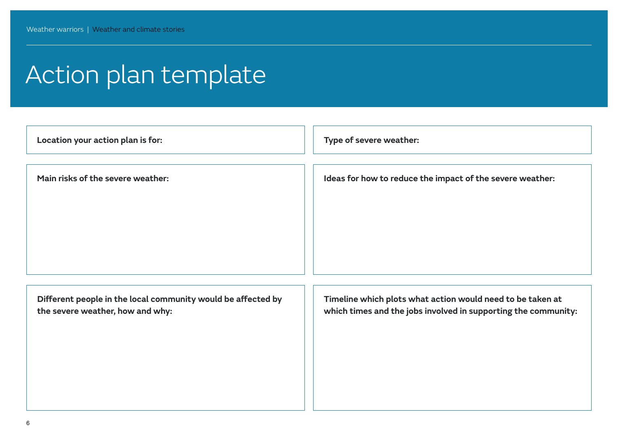## Action plan template

| Location your action plan is for:                                                                | Type of severe weather:                                                                                                      |
|--------------------------------------------------------------------------------------------------|------------------------------------------------------------------------------------------------------------------------------|
| Main risks of the severe weather:                                                                | Ideas for how to reduce the impact of the severe weather:                                                                    |
| Different people in the local community would be affected by<br>the severe weather, how and why: | Timeline which plots what action would need to be taken at<br>which times and the jobs involved in supporting the community: |